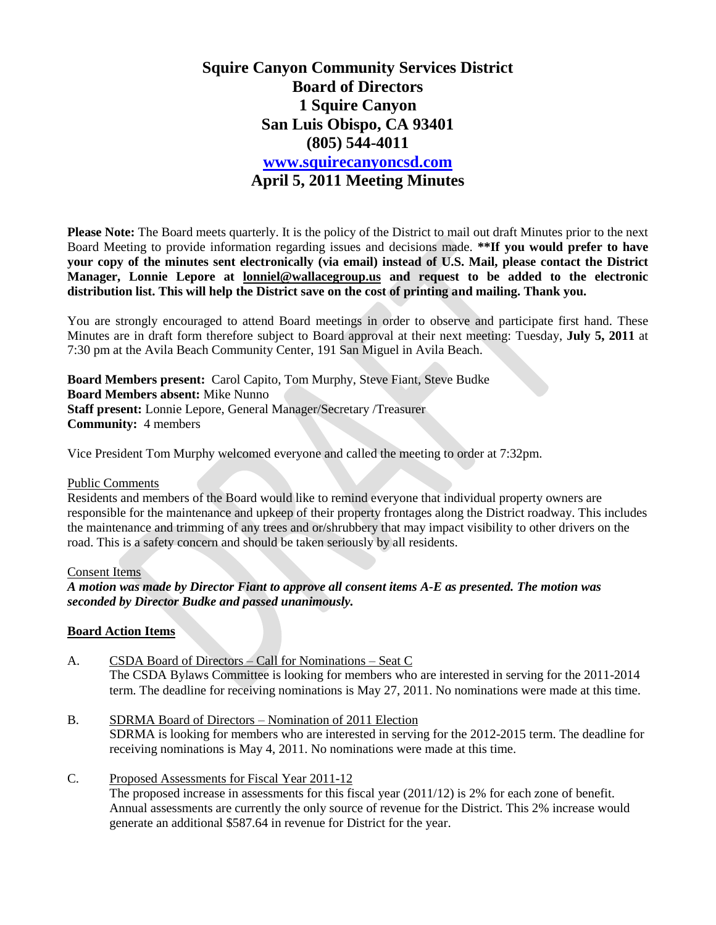# **Squire Canyon Community Services District Board of Directors 1 Squire Canyon San Luis Obispo, CA 93401 (805) 544-4011 [www.squirecanyoncsd.com](http://www.squirecanyoncsd.com/) April 5, 2011 Meeting Minutes**

**Please Note:** The Board meets quarterly. It is the policy of the District to mail out draft Minutes prior to the next Board Meeting to provide information regarding issues and decisions made. **\*\*If you would prefer to have your copy of the minutes sent electronically (via email) instead of U.S. Mail, please contact the District Manager, Lonnie Lepore at [lonniel@wallacegroup.us](mailto:lonniel@wallacegroup.us) and request to be added to the electronic distribution list. This will help the District save on the cost of printing and mailing. Thank you.**

You are strongly encouraged to attend Board meetings in order to observe and participate first hand. These Minutes are in draft form therefore subject to Board approval at their next meeting: Tuesday, **July 5, 2011** at 7:30 pm at the Avila Beach Community Center, 191 San Miguel in Avila Beach.

**Board Members present:** Carol Capito, Tom Murphy, Steve Fiant, Steve Budke **Board Members absent:** Mike Nunno **Staff present:** Lonnie Lepore, General Manager/Secretary /Treasurer **Community:** 4 members

Vice President Tom Murphy welcomed everyone and called the meeting to order at 7:32pm.

### Public Comments

Residents and members of the Board would like to remind everyone that individual property owners are responsible for the maintenance and upkeep of their property frontages along the District roadway. This includes the maintenance and trimming of any trees and or/shrubbery that may impact visibility to other drivers on the road. This is a safety concern and should be taken seriously by all residents.

### Consent Items

*A motion was made by Director Fiant to approve all consent items A-E as presented. The motion was seconded by Director Budke and passed unanimously.*

### **Board Action Items**

- A. CSDA Board of Directors Call for Nominations Seat C The CSDA Bylaws Committee is looking for members who are interested in serving for the 2011-2014 term. The deadline for receiving nominations is May 27, 2011. No nominations were made at this time.
- B. SDRMA Board of Directors Nomination of 2011 Election SDRMA is looking for members who are interested in serving for the 2012-2015 term. The deadline for receiving nominations is May 4, 2011. No nominations were made at this time.
- C. Proposed Assessments for Fiscal Year 2011-12 The proposed increase in assessments for this fiscal year (2011/12) is 2% for each zone of benefit. Annual assessments are currently the only source of revenue for the District. This 2% increase would generate an additional \$587.64 in revenue for District for the year.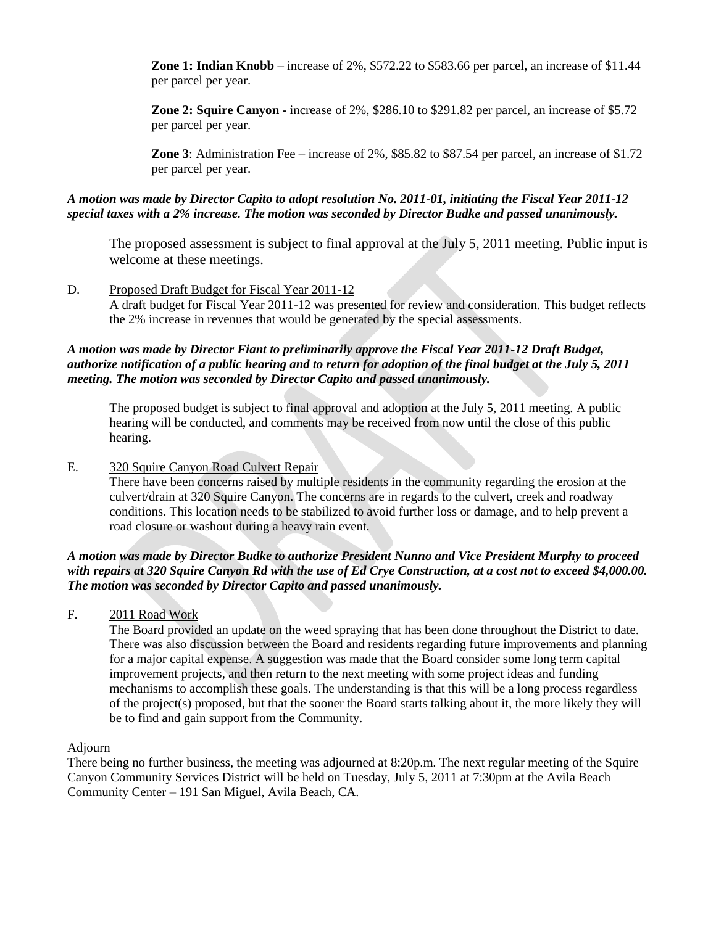**Zone 1: Indian Knobb** – increase of 2%, \$572.22 to \$583.66 per parcel, an increase of \$11.44 per parcel per year.

**Zone 2: Squire Canyon -** increase of 2%, \$286.10 to \$291.82 per parcel, an increase of \$5.72 per parcel per year.

**Zone 3**: Administration Fee – increase of 2%, \$85.82 to \$87.54 per parcel, an increase of \$1.72 per parcel per year.

## *A motion was made by Director Capito to adopt resolution No. 2011-01, initiating the Fiscal Year 2011-12 special taxes with a 2% increase. The motion was seconded by Director Budke and passed unanimously.*

The proposed assessment is subject to final approval at the July 5, 2011 meeting. Public input is welcome at these meetings.

# D. Proposed Draft Budget for Fiscal Year 2011-12 A draft budget for Fiscal Year 2011-12 was presented for review and consideration. This budget reflects the 2% increase in revenues that would be generated by the special assessments.

### *A motion was made by Director Fiant to preliminarily approve the Fiscal Year 2011-12 Draft Budget, authorize notification of a public hearing and to return for adoption of the final budget at the July 5, 2011 meeting. The motion was seconded by Director Capito and passed unanimously.*

The proposed budget is subject to final approval and adoption at the July 5, 2011 meeting. A public hearing will be conducted, and comments may be received from now until the close of this public hearing.

## E. 320 Squire Canyon Road Culvert Repair

There have been concerns raised by multiple residents in the community regarding the erosion at the culvert/drain at 320 Squire Canyon. The concerns are in regards to the culvert, creek and roadway conditions. This location needs to be stabilized to avoid further loss or damage, and to help prevent a road closure or washout during a heavy rain event.

### *A motion was made by Director Budke to authorize President Nunno and Vice President Murphy to proceed with repairs at 320 Squire Canyon Rd with the use of Ed Crye Construction, at a cost not to exceed \$4,000.00. The motion was seconded by Director Capito and passed unanimously.*

F. 2011 Road Work

The Board provided an update on the weed spraying that has been done throughout the District to date. There was also discussion between the Board and residents regarding future improvements and planning for a major capital expense. A suggestion was made that the Board consider some long term capital improvement projects, and then return to the next meeting with some project ideas and funding mechanisms to accomplish these goals. The understanding is that this will be a long process regardless of the project(s) proposed, but that the sooner the Board starts talking about it, the more likely they will be to find and gain support from the Community.

### Adjourn

There being no further business, the meeting was adjourned at 8:20p.m. The next regular meeting of the Squire Canyon Community Services District will be held on Tuesday, July 5, 2011 at 7:30pm at the Avila Beach Community Center – 191 San Miguel, Avila Beach, CA.